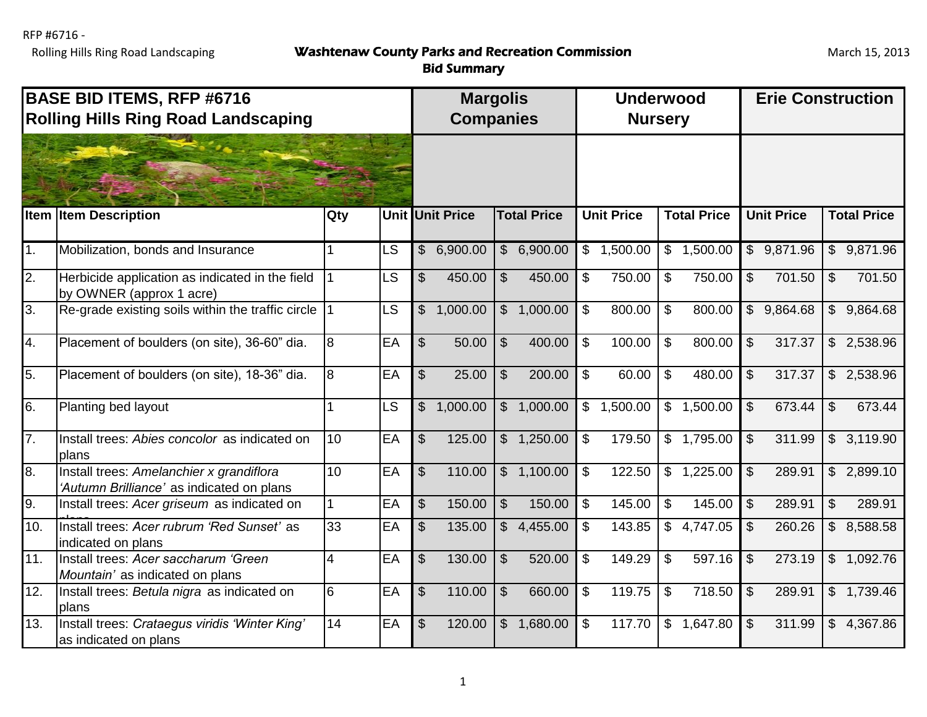#### Rolling Hills Ring Road Landscaping **Washtenaw County Parks and Recreation Commission**

Bid Summary

|                  | <b>BASE BID ITEMS, RFP #6716</b><br><b>Rolling Hills Ring Road Landscaping</b>        |                 |    |                           |                 |                           | <b>Margolis</b><br><b>Companies</b> | <b>Underwood</b><br><b>Nursery</b> |                   |                |                          |                | <b>Erie Construction</b> |              |                    |  |  |
|------------------|---------------------------------------------------------------------------------------|-----------------|----|---------------------------|-----------------|---------------------------|-------------------------------------|------------------------------------|-------------------|----------------|--------------------------|----------------|--------------------------|--------------|--------------------|--|--|
|                  |                                                                                       |                 |    |                           |                 |                           |                                     |                                    |                   |                |                          |                |                          |              |                    |  |  |
|                  | <b>Item Item Description</b>                                                          | Qty             |    |                           | Unit Unit Price |                           | <b>Total Price</b>                  |                                    | <b>Unit Price</b> |                | <b>Total Price</b>       |                | <b>Unit Price</b>        |              | <b>Total Price</b> |  |  |
| $\overline{1}$ . | Mobilization, bonds and Insurance                                                     |                 | LS |                           | \$6,900.00      |                           | \$6,900.00                          |                                    | \$1,500.00        |                | \$1,500.00               |                | \$9,871.96               |              | \$9,871.96         |  |  |
| 2.               | Herbicide application as indicated in the field<br>by OWNER (approx 1 acre)           |                 | LS | $\mathfrak{S}$            | 450.00          | $\sqrt[6]{\frac{1}{2}}$   | 450.00                              | $\mathfrak{S}$                     | 750.00            | \$             | 750.00                   | \$             | 701.50                   | \$           | 701.50             |  |  |
| $\overline{3}$ . | Re-grade existing soils within the traffic circle                                     |                 | LS |                           | \$1,000.00      |                           | \$1,000.00                          | $\mathfrak{S}$                     | 800.00            | $\mathbb{S}$   | 800.00                   |                | \$9,864.68               |              | \$9,864.68         |  |  |
| 4.               | Placement of boulders (on site), 36-60" dia.                                          | 8               | EA | $\mathfrak{S}$            | 50.00           | $\boldsymbol{\mathsf{S}}$ | 400.00                              | \$                                 | 100.00            | \$             | 800.00                   | \$             | 317.37                   |              | \$2,538.96         |  |  |
| 5.               | Placement of boulders (on site), 18-36" dia.                                          | $\overline{8}$  | EA | $\mathfrak{S}$            | 25.00           | $\mathbb{S}$              | 200.00                              | $\mathfrak{S}$                     | 60.00             | $\mathfrak{S}$ | 480.00                   | \$             | 317.37                   |              | \$2,538.96         |  |  |
| 6.               | Planting bed layout                                                                   |                 | LS | \$                        | 1,000.00        |                           | \$1,000.00                          |                                    | \$1,500.00        |                | \$1,500.00               | \$             | 673.44                   | \$           | 673.44             |  |  |
| 7.               | Install trees: Abies concolor as indicated on<br>plans                                | 10              | EA | $\mathbb{S}$              | 125.00          |                           | \$1,250.00                          | $\mathfrak{S}$                     | 179.50            |                | \$1,795.00               | \$             | 311.99                   |              | \$3,119.90         |  |  |
| 8.               | Install trees: Amelanchier x grandiflora<br>'Autumn Brilliance' as indicated on plans | 10              | EA | $\mathfrak{S}$            | 110.00          |                           | \$1,100.00                          | \$                                 | 122.50            |                | $\overline{\$}$ 1,225.00 | \$             | 289.91                   |              | \$2,899.10         |  |  |
| 9.               | Install trees: Acer griseum as indicated on                                           | $\mathbf{1}$    | EA | $\boldsymbol{\mathsf{S}}$ | 150.00          | $\mathfrak{S}$            | 150.00                              | $\mathfrak{L}$                     | 145.00            | $\mathfrak{S}$ | 145.00                   | \$             | 289.91                   | $\mathbb{S}$ | 289.91             |  |  |
| 10.              | Install trees: Acer rubrum 'Red Sunset' as<br>indicated on plans                      | 33              | EA | $\frac{1}{2}$             | 135.00          |                           | \$4,455.00                          | \$                                 | 143.85            | $\frac{1}{2}$  | $\overline{4,747.05}$    | \$             | 260.26                   |              | \$8,588.58         |  |  |
| 11.              | Install trees: Acer saccharum 'Green<br>Mountain' as indicated on plans               | 4               | EA | $\mathfrak{S}$            | 130.00          | $\mathfrak{S}$            | 520.00                              | \$                                 | 149.29            | \$             | 597.16                   | \$             | 273.19                   |              | \$1,092.76         |  |  |
| 12.              | Install trees: Betula nigra as indicated on<br>plans                                  | 6               | EA | $\mathfrak{S}$            | 110.00          | $\sqrt[6]{\frac{1}{2}}$   | 660.00                              | \$                                 | 119.75            | $\$\$          | 718.50                   | \$             | 289.91                   |              | \$1,739.46         |  |  |
| 13.              | Install trees: Crataegus viridis 'Winter King'<br>as indicated on plans               | $\overline{14}$ | EA | $\mathbb{S}$              | 120.00          |                           | \$1,680.00                          | $\overline{\mathbf{S}}$            | 117.70            |                | \$1,647.80               | $\mathfrak{S}$ | 311.99                   |              | \$4,367.86         |  |  |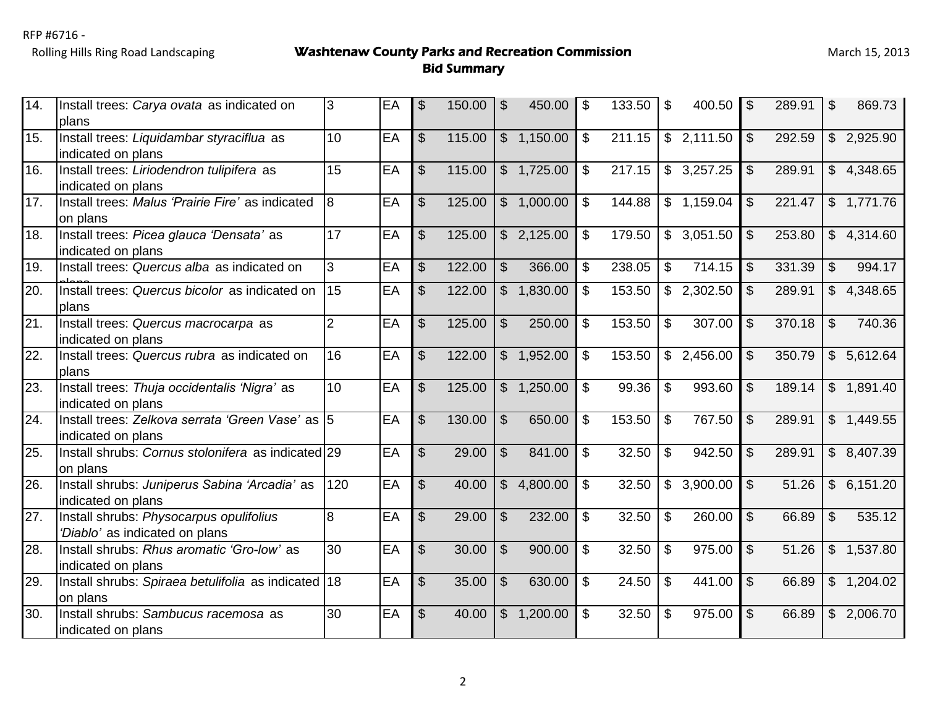#### Rolling Hills Ring Road Landscaping **Washtenaw County Parks and Recreation Commission** Bid Summary

| 14.               | Install trees: Carya ovata as indicated on          | 3               | EA | $\mathbb{S}$   | 150.00 | $\mathfrak{L}$ | 450.00     |                         | 133.50 | $\mathfrak{L}$ | 400.50                   | $\mathfrak{L}$            | 289.91 | \$             | 869.73     |
|-------------------|-----------------------------------------------------|-----------------|----|----------------|--------|----------------|------------|-------------------------|--------|----------------|--------------------------|---------------------------|--------|----------------|------------|
|                   | plans                                               |                 |    |                |        |                |            |                         |        |                |                          |                           |        |                |            |
| $\overline{15}$ . | Install trees: Liquidambar styraciflua as           | 10              | EA | $\mathbb{S}$   | 115.00 |                | \$1,150.00 | \$                      | 211.15 |                | \$2,111.50               | \$                        | 292.59 |                | \$2,925.90 |
|                   | indicated on plans                                  |                 |    |                |        |                |            |                         |        |                |                          |                           |        |                |            |
| $\overline{16}$ . | Install trees: Liriodendron tulipifera as           | 15              | EA | \$             | 115.00 |                | \$1,725.00 | \$                      | 217.15 |                | \$3,257.25               | \$                        | 289.91 |                | \$4,348.65 |
|                   | indicated on plans                                  |                 |    |                |        |                |            |                         |        |                |                          |                           |        |                |            |
| $\overline{17}$ . | Install trees: Malus 'Prairie Fire' as indicated    | 8               | EA | $\mathbb{S}$   | 125.00 |                | \$1,000.00 | $\sqrt[6]{\frac{1}{2}}$ | 144.88 |                | \$1,159.04               | $\boldsymbol{\mathsf{S}}$ | 221.47 |                | \$1,771.76 |
|                   | on plans                                            |                 |    |                |        |                |            |                         |        |                |                          |                           |        |                |            |
| $\overline{18}$ . | Install trees: Picea glauca 'Densata' as            | $\overline{17}$ | EA | $\mathcal{S}$  | 125.00 |                | \$2,125.00 | $\mathfrak{S}$          | 179.50 |                | \$3,051.50               | $\mathfrak{S}$            | 253.80 |                | \$4,314.60 |
|                   | indicated on plans                                  |                 |    |                |        |                |            |                         |        |                |                          |                           |        |                |            |
| 19.               | Install trees: Quercus alba as indicated on         | 3               | EA | $\mathbb{S}$   | 122.00 | $\mathbb{S}$   | 366.00     | $\mathfrak{L}$          | 238.05 | $\mathfrak{S}$ | 714.15                   | $\mathfrak{S}$            | 331.39 | $\mathfrak{L}$ | 994.17     |
| 20.               | Install trees: Quercus bicolor as indicated on      | 15              | EA | $\mathfrak{S}$ | 122.00 |                | \$1,830.00 | \$                      | 153.50 |                | \$2,302.50               | $\mathfrak{L}$            | 289.91 |                | \$4,348.65 |
|                   | Iplans                                              |                 |    |                |        |                |            |                         |        |                |                          |                           |        |                |            |
| 21.               | Install trees: Quercus macrocarpa as                | $\overline{2}$  | EA | $\mathbb{S}$   | 125.00 | $\mathbb{S}$   | 250.00     | $\mathfrak{L}$          | 153.50 | $\mathfrak{L}$ | 307.00                   | \$                        | 370.18 | \$             | 740.36     |
|                   | indicated on plans                                  |                 |    |                |        |                |            |                         |        |                |                          |                           |        |                |            |
| 22.               | Install trees: Quercus rubra as indicated on        | 16              | EA | $\mathbb{S}$   | 122.00 |                | \$1,952.00 | \$                      | 153.50 |                | \$2,456.00               | $\mathfrak{S}$            | 350.79 |                | \$5,612.64 |
|                   | <b>plans</b>                                        |                 |    |                |        |                |            |                         |        |                |                          |                           |        |                |            |
| 23.               | Install trees: Thuja occidentalis 'Nigra' as        | 10              | EA | $\mathbb{S}$   | 125.00 |                | \$1,250.00 | \$                      | 99.36  | $\mathfrak{L}$ | 993.60                   | $\boldsymbol{\mathsf{S}}$ | 189.14 |                | \$1,891.40 |
|                   | indicated on plans                                  |                 |    |                |        |                |            |                         |        |                |                          |                           |        |                |            |
| $\overline{24}$ . | Install trees: Zelkova serrata 'Green Vase' as 5    |                 | EA | $\mathbb{S}$   | 130.00 | $\mathfrak{S}$ | 650.00     | \$                      | 153.50 | $\mathfrak{L}$ | 767.50                   | \$                        | 289.91 |                | \$1,449.55 |
|                   | indicated on plans                                  |                 |    |                |        |                |            |                         |        |                |                          |                           |        |                |            |
| $\overline{25}$   | Install shrubs: Cornus stolonifera as indicated 29  |                 | EA | $\mathbb{S}$   | 29.00  | $\mathfrak{S}$ | 841.00     | $\mathfrak{S}$          | 32.50  | $\mathfrak{L}$ | 942.50                   | $\mathbb{S}$              | 289.91 |                | \$8,407.39 |
|                   | on plans                                            |                 |    |                |        |                |            |                         |        |                |                          |                           |        |                |            |
| $\overline{26}$ . | Install shrubs: Juniperus Sabina 'Arcadia' as       | 120             | EA | $\mathbb{S}$   | 40.00  |                | \$4,800.00 | \$                      | 32.50  |                | $\overline{\$}$ 3,900.00 | \$                        | 51.26  |                | \$6,151.20 |
|                   | indicated on plans                                  |                 |    |                |        |                |            |                         |        |                |                          |                           |        |                |            |
| $\overline{27}$ . | Install shrubs: Physocarpus opulifolius             | 8               | EA | $\mathsf{\$}$  | 29.00  | $\mathcal{S}$  | 232.00     | \$                      | 32.50  | $\mathfrak{S}$ | 260.00                   | \$                        | 66.89  | $\mathfrak{S}$ | 535.12     |
|                   | 'Diablo' as indicated on plans                      |                 |    |                |        |                |            |                         |        |                |                          |                           |        |                |            |
| 28.               | Install shrubs: Rhus aromatic 'Gro-low' as          | 30              | EA | $\mathbb{S}$   | 30.00  | $\mathbb{S}$   | 900.00     | $\mathbb{S}$            | 32.50  | $\mathfrak{S}$ | 975.00                   | $\mathbb{S}$              | 51.26  |                | \$1,537.80 |
|                   | indicated on plans                                  |                 |    |                |        |                |            |                         |        |                |                          |                           |        |                |            |
| 29.               | Install shrubs: Spiraea betulifolia as indicated 18 |                 | EA | $\mathfrak{L}$ | 35.00  | $\mathfrak{S}$ | 630.00     | \$                      | 24.50  | \$             | 441.00                   | $\mathfrak{L}$            | 66.89  |                | \$1,204.02 |
|                   | on plans                                            |                 |    |                |        |                |            |                         |        |                |                          |                           |        |                |            |
| $\overline{30}$ . | Install shrubs: Sambucus racemosa as                | 30              | EA | $\mathbb{S}$   | 40.00  | $\mathbb{S}$   | 1,200.00   | \$                      | 32.50  | $\mathfrak{L}$ | 975.00                   | $\mathfrak{L}$            | 66.89  |                | \$2,006.70 |
|                   | indicated on plans                                  |                 |    |                |        |                |            |                         |        |                |                          |                           |        |                |            |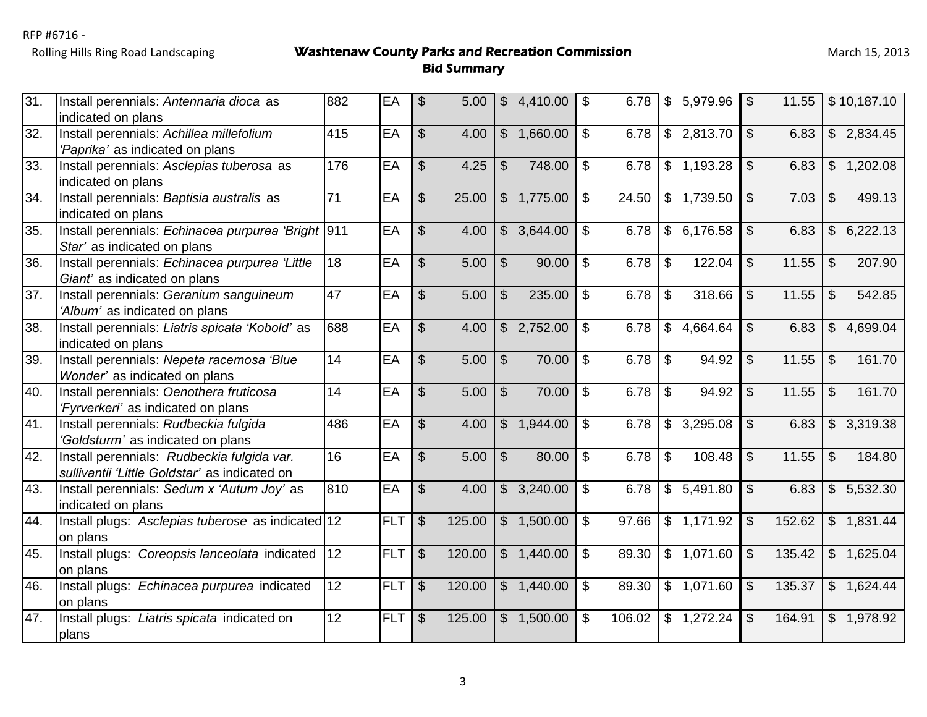## Rolling Hills Ring Road Landscaping **Washtenaw County Parks and Recreation Commission**

Bid Summary

| 31.               | Install perennials: Antennaria dioca as<br>indicated on plans                               | 882             | EA         | $\boldsymbol{\mathsf{S}}$ | 5.00   |                | \$4,410.00 | $\overline{\mathcal{S}}$ | 6.78   | $\mathfrak{S}$ | 5,979.96                 | $\mathfrak{F}$            | 11.55  |                | \$10,187.10 |
|-------------------|---------------------------------------------------------------------------------------------|-----------------|------------|---------------------------|--------|----------------|------------|--------------------------|--------|----------------|--------------------------|---------------------------|--------|----------------|-------------|
| 32.               | Install perennials: Achillea millefolium<br>'Paprika' as indicated on plans                 | 415             | EA         | $\boldsymbol{\mathsf{S}}$ | 4.00   |                | \$1,660.00 | \$                       | 6.78   |                | \$2,813.70               | $\mathfrak{S}$            | 6.83   |                | \$2,834.45  |
| 33.               | Install perennials: Asclepias tuberosa as<br>indicated on plans                             | 176             | EA         | $\mathcal{L}$             | 4.25   | $\mathbb{S}$   | 748.00     | \$                       | 6.78   |                | \$1,193.28               | $\mathbb{S}$              | 6.83   | \$             | 1,202.08    |
| $\overline{34}$ . | Install perennials: Baptisia australis as<br>indicated on plans                             | $\overline{71}$ | EA         | $\mathbb{S}$              | 25.00  |                | \$1,775.00 | $\mathfrak{S}$           | 24.50  |                | \$1,739.50               | $\mathfrak{S}$            | 7.03   | $\mathcal{L}$  | 499.13      |
| 35.               | Install perennials: Echinacea purpurea 'Bright 911<br>Star' as indicated on plans           |                 | EA         | $\boldsymbol{\mathsf{S}}$ | 4.00   |                | \$3,644.00 | \$                       | 6.78   |                | $\overline{\$}$ 6,176.58 | \$                        | 6.83   | $\mathcal{S}$  | 6,222.13    |
| 36.               | Install perennials: Echinacea purpurea 'Little<br>Giant' as indicated on plans              | 18              | EA         | $\boldsymbol{\mathsf{S}}$ | 5.00   | \$             | 90.00      | \$                       | 6.78   | \$             | 122.04                   | \$                        | 11.55  | \$             | 207.90      |
| 37.               | Install perennials: Geranium sanguineum<br>'Album' as indicated on plans                    | 47              | EA         | $\frac{1}{2}$             | 5.00   | $\mathfrak{S}$ | 235.00     | \$                       | 6.78   | \$             | 318.66                   | $\mathcal{L}$             | 11.55  | $\mathfrak{S}$ | 542.85      |
| 38.               | Install perennials: Liatris spicata 'Kobold' as<br>indicated on plans                       | 688             | EA         | $\boldsymbol{\mathsf{S}}$ | 4.00   |                | \$2,752.00 | \$                       | 6.78   |                | \$4,664.64               | $\mathfrak{L}$            | 6.83   | $\mathfrak{L}$ | 4,699.04    |
| 39.               | Install perennials: Nepeta racemosa 'Blue<br>Wonder' as indicated on plans                  | 14              | EA         | $\boldsymbol{\mathsf{S}}$ | 5.00   | \$             | 70.00      | \$                       | 6.78   | $\mathfrak{S}$ | 94.92                    | $\mathfrak{S}$            | 11.55  | $\mathcal{L}$  | 161.70      |
| 40.               | Install perennials: Oenothera fruticosa<br>'Fyrverkeri' as indicated on plans               | 14              | EA         | $\boldsymbol{\mathsf{S}}$ | 5.00   | $\mathfrak{S}$ | 70.00      | \$                       | 6.78   | $\mathfrak{L}$ | 94.92                    | $\mathbb{S}$              | 11.55  | $\mathbb{S}$   | 161.70      |
| 41.               | Install perennials: Rudbeckia fulgida<br>'Goldsturm' as indicated on plans                  | 486             | EA         | $\frac{1}{2}$             | 4.00   |                | \$1,944.00 | \$                       | 6.78   |                | \$3,295.08               | $\mathfrak{S}$            | 6.83   |                | \$3,319.38  |
| 42.               | Install perennials: Rudbeckia fulgida var.<br>sullivantii 'Little Goldstar' as indicated on | 16              | EA         | $\mathfrak{S}$            | 5.00   | \$             | 80.00      | $\mathfrak{S}$           | 6.78   | $\mathfrak{L}$ | 108.48                   | \$                        | 11.55  | $\mathcal{L}$  | 184.80      |
| 43.               | Install perennials: Sedum x 'Autum Joy' as<br>indicated on plans                            | 810             | EA         | $\frac{1}{2}$             | 4.00   |                | \$3,240.00 | \$                       | 6.78   |                | \$5,491.80               | $\boldsymbol{\mathsf{S}}$ | 6.83   | $\mathsf{\$}$  | 5,532.30    |
| 44.               | Install plugs: Asclepias tuberose as indicated 12<br>on plans                               |                 | <b>FLT</b> | $\frac{1}{2}$             | 125.00 |                | \$1,500.00 | \$                       | 97.66  |                | \$1,171.92               | \$                        | 152.62 |                | \$1,831.44  |
| 45.               | Install plugs: Coreopsis lanceolata indicated<br>on plans                                   | 12              | <b>FLT</b> | $\mathbb{S}$              | 120.00 |                | \$1,440.00 | $\mathfrak{S}$           | 89.30  |                | \$1,071.60               | $\mathfrak{S}$            | 135.42 |                | \$1,625.04  |
| 46.               | Install plugs: Echinacea purpurea indicated<br>on plans                                     | 12              | <b>FLT</b> | $\mathbb{S}$              | 120.00 |                | \$1,440.00 | \$                       | 89.30  |                | \$1,071.60               | $\mathfrak{L}$            | 135.37 |                | \$1,624.44  |
| 47.               | Install plugs: Liatris spicata indicated on<br>plans                                        | 12              | <b>FLT</b> | \$                        | 125.00 |                | \$1,500.00 | \$                       | 106.02 |                | \$1,272.24               | \$                        | 164.91 |                | \$1,978.92  |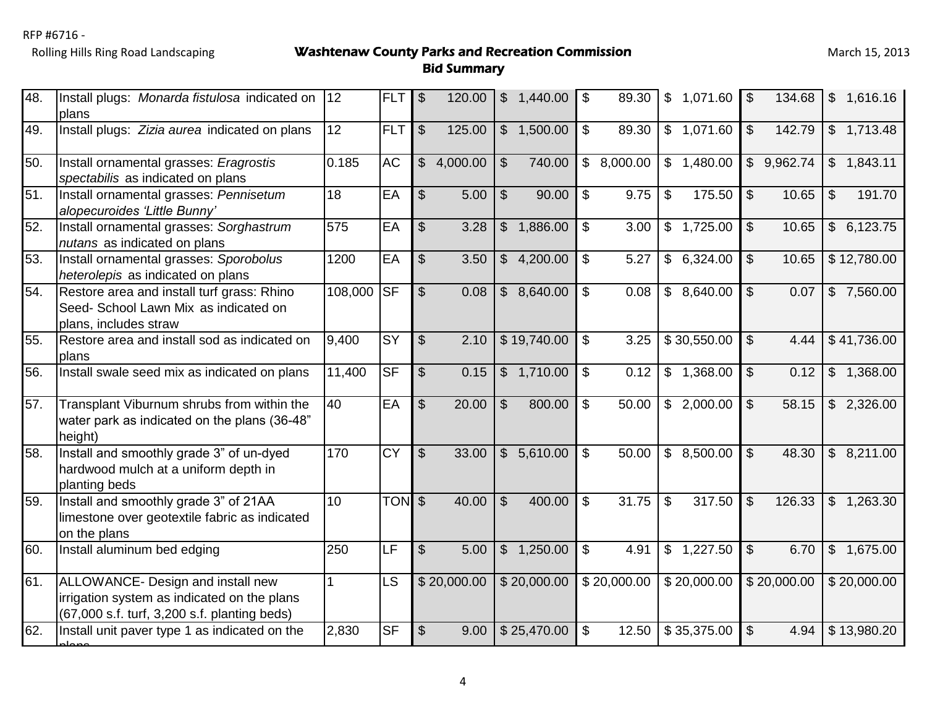## Rolling Hills Ring Road Landscaping **Washtenaw County Parks and Recreation Commission**

Bid Summary

| 48. | Install plugs: Monarda fistulosa indicated on<br>plans                                                                           | 12      | <b>FLT</b>               | $\sqrt{3}$                | 120.00      |                           | \$1,440.00               | $\mathfrak{S}$ | 89.30       |                | \$1,071.60  | $\overline{\mathsf{S}}$   | 134.68      |               | \$1,616.16  |  |
|-----|----------------------------------------------------------------------------------------------------------------------------------|---------|--------------------------|---------------------------|-------------|---------------------------|--------------------------|----------------|-------------|----------------|-------------|---------------------------|-------------|---------------|-------------|--|
| 49. | Install plugs: Zizia aurea indicated on plans                                                                                    | 12      | <b>FLT</b>               | $\mathfrak{S}$            | 125.00      |                           | $\overline{\$}$ 1,500.00 | $\mathfrak{S}$ | 89.30       |                | \$1,071.60  | $\mathcal{S}$             | 142.79      |               | \$1,713.48  |  |
| 50. | Install ornamental grasses: Eragrostis<br>spectabilis as indicated on plans                                                      | 0.185   | <b>AC</b>                |                           | \$4,000.00  | $\boldsymbol{\mathsf{S}}$ | 740.00                   |                | \$8,000.00  |                | \$1,480.00  |                           | \$9,962.74  |               | \$1,843.11  |  |
| 51. | Install ornamental grasses: Pennisetum<br>alopecuroides 'Little Bunny'                                                           | 18      | EA                       | $\frac{1}{2}$             | 5.00        | $\boldsymbol{\mathsf{S}}$ | 90.00                    | \$             | 9.75        | $\mathfrak{S}$ | 175.50      | $\mathcal{S}$             | 10.65       | $\mathcal{L}$ | 191.70      |  |
| 52. | Install ornamental grasses: Sorghastrum<br>nutans as indicated on plans                                                          | 575     | EA                       | $\boldsymbol{\mathsf{S}}$ | 3.28        |                           | \$1,886.00               | $\mathbb{S}$   | 3.00        | $\mathcal{S}$  | 1,725.00    | $\mathfrak{S}$            | 10.65       |               | \$6,123.75  |  |
| 53. | Install ornamental grasses: Sporobolus<br>heterolepis as indicated on plans                                                      | 1200    | EA                       | $\boldsymbol{\mathsf{S}}$ | 3.50        |                           | \$4,200.00               | \$             | 5.27        |                | \$6,324.00  | $\mathcal{S}$             | 10.65       |               | \$12,780.00 |  |
| 54. | Restore area and install turf grass: Rhino<br>Seed- School Lawn Mix as indicated on<br>plans, includes straw                     | 108,000 | SF                       | $\mathfrak{S}$            | 0.08        |                           | \$8,640.00               | $\mathfrak{S}$ | 0.08        |                | \$8,640.00  | $\mathcal{S}$             | 0.07        |               | \$7,560.00  |  |
| 55. | Restore area and install sod as indicated on<br>plans                                                                            | 9,400   | SY                       | $\boldsymbol{\mathsf{S}}$ | 2.10        |                           | \$19,740.00              | \$             | 3.25        |                | \$30,550.00 | $\mathcal{L}$             | 4.44        |               | \$41,736.00 |  |
| 56. | Install swale seed mix as indicated on plans                                                                                     | 11,400  | $\overline{\mathsf{SF}}$ | $\boldsymbol{\mathsf{S}}$ | 0.15        |                           | \$1,710.00               | \$             | 0.12        |                | \$1,368.00  | $\mathcal{S}$             | 0.12        |               | \$1,368.00  |  |
| 57. | Transplant Viburnum shrubs from within the<br>water park as indicated on the plans (36-48"<br>height)                            | 40      | EA                       | $\mathbb{S}$              | 20.00       | $\mathfrak{S}$            | 800.00                   | $\mathfrak{S}$ | 50.00       |                | \$2,000.00  | $\mathfrak{S}$            | 58.15       |               | \$2,326.00  |  |
| 58. | Install and smoothly grade 3" of un-dyed<br>hardwood mulch at a uniform depth in<br>planting beds                                | 170     | <b>CY</b>                | $\mathfrak{S}$            | 33.00       |                           | \$5,610.00               | $\mathfrak{S}$ | 50.00       |                | \$8,500.00  | $\mathcal{L}$             | 48.30       |               | \$8,211.00  |  |
| 59. | Install and smoothly grade 3" of 21AA<br>limestone over geotextile fabric as indicated<br>on the plans                           | 10      | TON <sub>\$</sub>        |                           | 40.00       | $\mathbb{S}$              | 400.00                   | $\mathfrak{S}$ | 31.75       | $\mathfrak{S}$ | 317.50      | $\mathcal{S}$             | 126.33      |               | \$1,263.30  |  |
| 60. | Install aluminum bed edging                                                                                                      | 250     | LF                       | $\mathfrak{S}$            | 5.00        |                           | \$1,250.00               | $\frac{1}{2}$  | 4.91        |                | \$1,227.50  | $\mathfrak{F}$            | 6.70        |               | \$1,675.00  |  |
| 61. | ALLOWANCE- Design and install new<br>irrigation system as indicated on the plans<br>(67,000 s.f. turf, 3,200 s.f. planting beds) | 1       | LS                       |                           | \$20,000.00 |                           | \$20,000.00              |                | \$20,000.00 |                | \$20,000.00 |                           | \$20,000.00 |               | \$20,000.00 |  |
| 62. | Install unit paver type 1 as indicated on the                                                                                    | 2,830   | <b>SF</b>                | $\boldsymbol{\mathsf{S}}$ | 9.00        |                           | \$25,470.00              | \$             | 12.50       |                | \$35,375.00 | $\boldsymbol{\mathsf{S}}$ | 4.94        |               | \$13,980.20 |  |